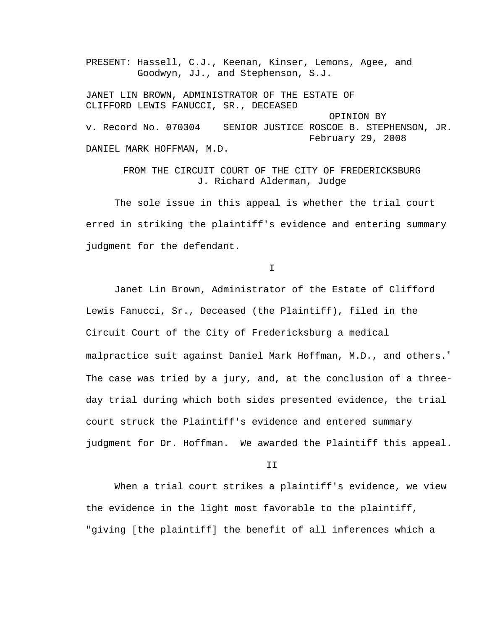PRESENT: Hassell, C.J., Keenan, Kinser, Lemons, Agee, and Goodwyn, JJ., and Stephenson, S.J. JANET LIN BROWN, ADMINISTRATOR OF THE ESTATE OF CLIFFORD LEWIS FANUCCI, SR., DECEASED OPINION BY v. Record No. 070304 SENIOR JUSTICE ROSCOE B. STEPHENSON, JR. February 29, 2008 DANIEL MARK HOFFMAN, M.D.

> FROM THE CIRCUIT COURT OF THE CITY OF FREDERICKSBURG J. Richard Alderman, Judge

 The sole issue in this appeal is whether the trial court erred in striking the plaintiff's evidence and entering summary judgment for the defendant.

I

 Janet Lin Brown, Administrator of the Estate of Clifford Lewis Fanucci, Sr., Deceased (the Plaintiff), filed in the Circuit Court of the City of Fredericksburg a medical malpractice suit against Daniel Mark Hoffman, M.D., and others.<sup>\*</sup> The case was tried by a jury, and, at the conclusion of a threeday trial during which both sides presented evidence, the trial court struck the Plaintiff's evidence and entered summary judgment for Dr. Hoffman. We awarded the Plaintiff this appeal.

II

<span id="page-0-0"></span> When a trial court strikes a plaintiff's evidence, we view the evidence in the light most favorable to the plaintiff, "giving [the plaintiff] the benefit of all inferences which a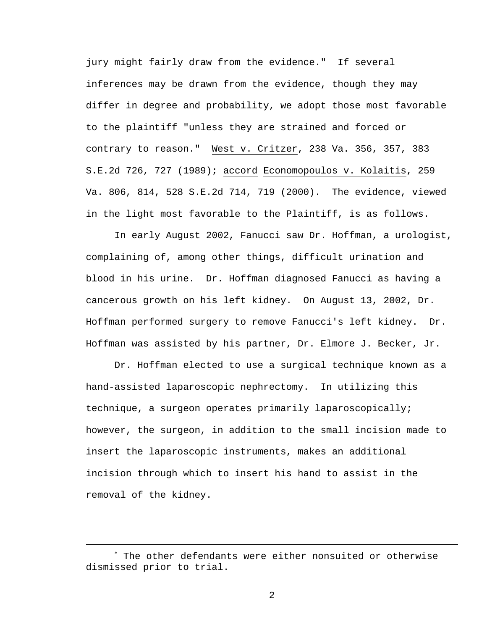jury might fairly draw from the evidence." If several inferences may be drawn from the evidence, though they may differ in degree and probability, we adopt those most favorable to the plaintiff "unless they are strained and forced or contrary to reason." West v. Critzer, 238 Va. 356, 357, 383 S.E.2d 726, 727 (1989); accord Economopoulos v. Kolaitis, 259 Va. 806, 814, 528 S.E.2d 714, 719 (2000). The evidence, viewed in the light most favorable to the Plaintiff, is as follows.

 In early August 2002, Fanucci saw Dr. Hoffman, a urologist, complaining of, among other things, difficult urination and blood in his urine. Dr. Hoffman diagnosed Fanucci as having a cancerous growth on his left kidney. On August 13, 2002, Dr. Hoffman performed surgery to remove Fanucci's left kidney. Dr. Hoffman was assisted by his partner, Dr. Elmore J. Becker, Jr.

 Dr. Hoffman elected to use a surgical technique known as a hand-assisted laparoscopic nephrectomy. In utilizing this technique, a surgeon operates primarily laparoscopically; however, the surgeon, in addition to the small incision made to insert the laparoscopic instruments, makes an additional incision through which to insert his hand to assist in the removal of the kidney.

i

<sup>∗</sup> The other defendants were either nonsuited or otherwise dismissed prior to trial.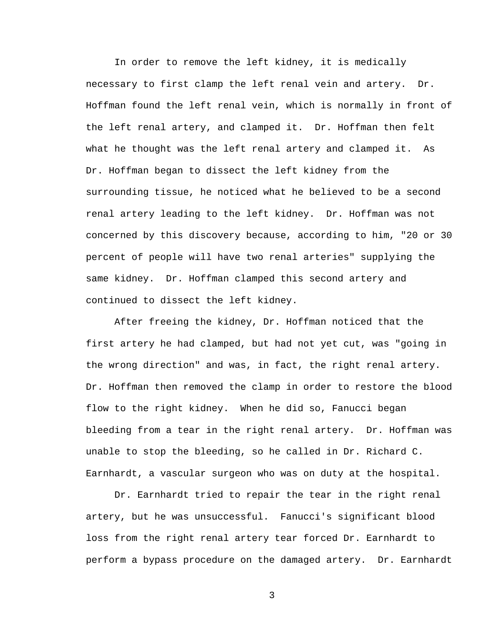In order to remove the left kidney, it is medically necessary to first clamp the left renal vein and artery. Dr. Hoffman found the left renal vein, which is normally in front of the left renal artery, and clamped it. Dr. Hoffman then felt what he thought was the left renal artery and clamped it. As Dr. Hoffman began to dissect the left kidney from the surrounding tissue, he noticed what he believed to be a second renal artery leading to the left kidney. Dr. Hoffman was not concerned by this discovery because, according to him, "20 or 30 percent of people will have two renal arteries" supplying the same kidney. Dr. Hoffman clamped this second artery and continued to dissect the left kidney.

 After freeing the kidney, Dr. Hoffman noticed that the first artery he had clamped, but had not yet cut, was "going in the wrong direction" and was, in fact, the right renal artery. Dr. Hoffman then removed the clamp in order to restore the blood flow to the right kidney. When he did so, Fanucci began bleeding from a tear in the right renal artery. Dr. Hoffman was unable to stop the bleeding, so he called in Dr. Richard C. Earnhardt, a vascular surgeon who was on duty at the hospital.

 Dr. Earnhardt tried to repair the tear in the right renal artery, but he was unsuccessful. Fanucci's significant blood loss from the right renal artery tear forced Dr. Earnhardt to perform a bypass procedure on the damaged artery. Dr. Earnhardt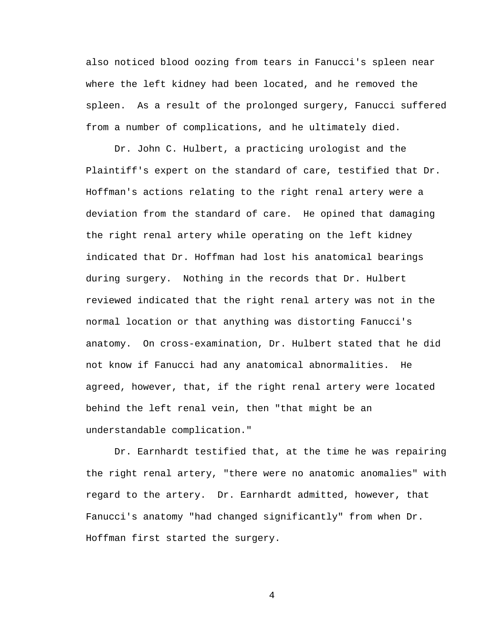also noticed blood oozing from tears in Fanucci's spleen near where the left kidney had been located, and he removed the spleen. As a result of the prolonged surgery, Fanucci suffered from a number of complications, and he ultimately died.

 Dr. John C. Hulbert, a practicing urologist and the Plaintiff's expert on the standard of care, testified that Dr. Hoffman's actions relating to the right renal artery were a deviation from the standard of care. He opined that damaging the right renal artery while operating on the left kidney indicated that Dr. Hoffman had lost his anatomical bearings during surgery. Nothing in the records that Dr. Hulbert reviewed indicated that the right renal artery was not in the normal location or that anything was distorting Fanucci's anatomy. On cross-examination, Dr. Hulbert stated that he did not know if Fanucci had any anatomical abnormalities. He agreed, however, that, if the right renal artery were located behind the left renal vein, then "that might be an understandable complication."

 Dr. Earnhardt testified that, at the time he was repairing the right renal artery, "there were no anatomic anomalies" with regard to the artery. Dr. Earnhardt admitted, however, that Fanucci's anatomy "had changed significantly" from when Dr. Hoffman first started the surgery.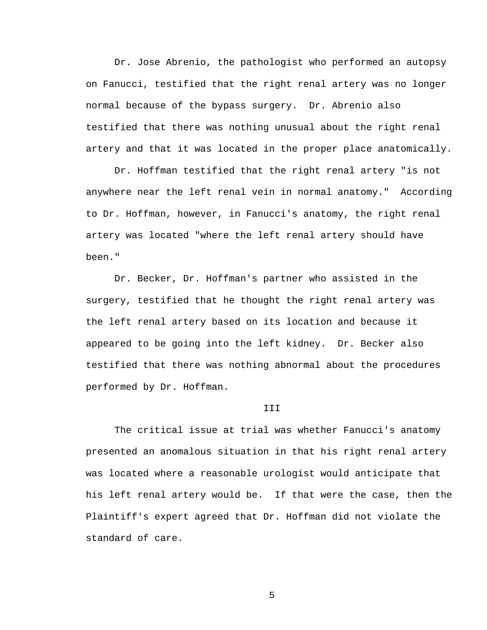Dr. Jose Abrenio, the pathologist who performed an autopsy on Fanucci, testified that the right renal artery was no longer normal because of the bypass surgery. Dr. Abrenio also testified that there was nothing unusual about the right renal artery and that it was located in the proper place anatomically.

 Dr. Hoffman testified that the right renal artery "is not anywhere near the left renal vein in normal anatomy." According to Dr. Hoffman, however, in Fanucci's anatomy, the right renal artery was located "where the left renal artery should have been."

 Dr. Becker, Dr. Hoffman's partner who assisted in the surgery, testified that he thought the right renal artery was the left renal artery based on its location and because it appeared to be going into the left kidney. Dr. Becker also testified that there was nothing abnormal about the procedures performed by Dr. Hoffman.

## III

 The critical issue at trial was whether Fanucci's anatomy presented an anomalous situation in that his right renal artery was located where a reasonable urologist would anticipate that his left renal artery would be. If that were the case, then the Plaintiff's expert agreed that Dr. Hoffman did not violate the standard of care.